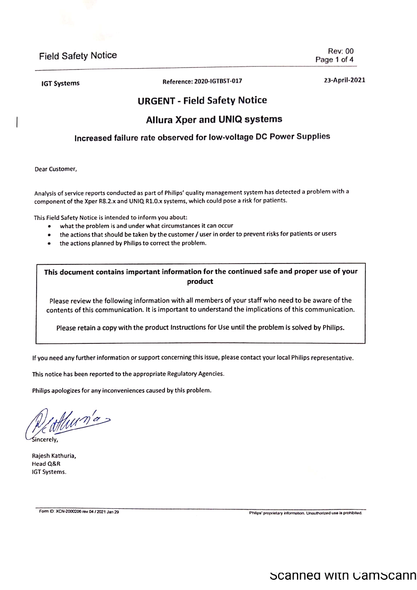**IGT Systems** 

Reference: 2020-IGTBST-017

23-April-2021

**Rev: 00** 

Page 1 of 4

# **URGENT - Field Safety Notice**

### **Allura Xper and UNIQ systems**

### Increased failure rate observed for low-voltage DC Power Supplies

Dear Customer,

Analysis of service reports conducted as part of Philips' quality management system has detected a problem with a component of the Xper R8.2.x and UNIQ R1.0.x systems, which could pose a risk for patients.

This Field Safety Notice is intended to inform you about:

- what the problem is and under what circumstances it can occur  $\bullet$
- the actions that should be taken by the customer / user in order to prevent risks for patients or users
- the actions planned by Philips to correct the problem.  $\bullet$

This document contains important information for the continued safe and proper use of your product

Please review the following information with all members of your staff who need to be aware of the contents of this communication. It is important to understand the implications of this communication.

Please retain a copy with the product Instructions for Use until the problem is solved by Philips.

If you need any further information or support concerning this issue, please contact your local Philips representative.

This notice has been reported to the appropriate Regulatory Agencies.

Philips apologizes for any inconveniences caused by this problem.

Hum'a

Śincerelv.

Rajesh Kathuria, Head Q&R IGT Systems.

Form ID: XCN-2000206 rev.04 / 2021 Jan 29

Philips' proprietary information. Unauthorized use is prohibited.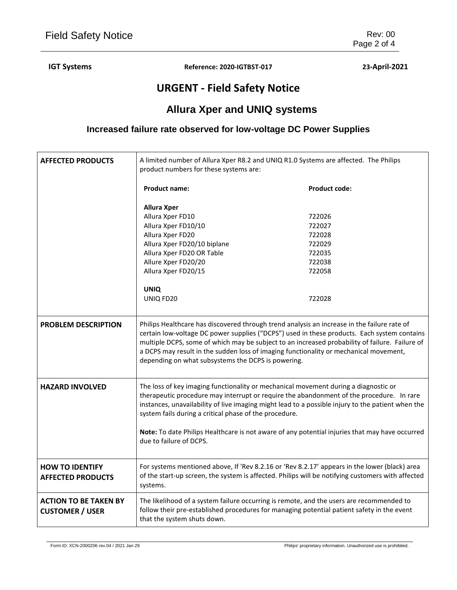**IGT Systems Reference: 2020-IGTBST-017 23-April-2021**

# **URGENT - Field Safety Notice**

# **Allura Xper and UNIQ systems**

### **Increased failure rate observed for low-voltage DC Power Supplies**

| <b>AFFECTED PRODUCTS</b>                               | A limited number of Allura Xper R8.2 and UNIQ R1.0 Systems are affected. The Philips<br>product numbers for these systems are:                                                                                                                                                                                                                                                                                                              |                      |
|--------------------------------------------------------|---------------------------------------------------------------------------------------------------------------------------------------------------------------------------------------------------------------------------------------------------------------------------------------------------------------------------------------------------------------------------------------------------------------------------------------------|----------------------|
|                                                        | <b>Product name:</b>                                                                                                                                                                                                                                                                                                                                                                                                                        | <b>Product code:</b> |
|                                                        | <b>Allura Xper</b>                                                                                                                                                                                                                                                                                                                                                                                                                          |                      |
|                                                        | Allura Xper FD10                                                                                                                                                                                                                                                                                                                                                                                                                            | 722026               |
|                                                        | Allura Xper FD10/10                                                                                                                                                                                                                                                                                                                                                                                                                         | 722027               |
|                                                        | Allura Xper FD20                                                                                                                                                                                                                                                                                                                                                                                                                            | 722028<br>722029     |
|                                                        | Allura Xper FD20/10 biplane<br>Allura Xper FD20 OR Table                                                                                                                                                                                                                                                                                                                                                                                    | 722035               |
|                                                        | Allure Xper FD20/20                                                                                                                                                                                                                                                                                                                                                                                                                         | 722038               |
|                                                        | Allura Xper FD20/15                                                                                                                                                                                                                                                                                                                                                                                                                         | 722058               |
|                                                        |                                                                                                                                                                                                                                                                                                                                                                                                                                             |                      |
|                                                        | <b>UNIQ</b>                                                                                                                                                                                                                                                                                                                                                                                                                                 |                      |
|                                                        | UNIQ FD20                                                                                                                                                                                                                                                                                                                                                                                                                                   | 722028               |
|                                                        |                                                                                                                                                                                                                                                                                                                                                                                                                                             |                      |
| <b>PROBLEM DESCRIPTION</b>                             | Philips Healthcare has discovered through trend analysis an increase in the failure rate of<br>certain low-voltage DC power supplies ("DCPS") used in these products. Each system contains<br>multiple DCPS, some of which may be subject to an increased probability of failure. Failure of<br>a DCPS may result in the sudden loss of imaging functionality or mechanical movement,<br>depending on what subsystems the DCPS is powering. |                      |
| <b>HAZARD INVOLVED</b>                                 | The loss of key imaging functionality or mechanical movement during a diagnostic or<br>therapeutic procedure may interrupt or require the abandonment of the procedure. In rare<br>instances, unavailability of live imaging might lead to a possible injury to the patient when the<br>system fails during a critical phase of the procedure.                                                                                              |                      |
|                                                        | Note: To date Philips Healthcare is not aware of any potential injuries that may have occurred<br>due to failure of DCPS.                                                                                                                                                                                                                                                                                                                   |                      |
| <b>HOW TO IDENTIFY</b><br><b>AFFECTED PRODUCTS</b>     | For systems mentioned above, If 'Rev 8.2.16 or 'Rev 8.2.17' appears in the lower (black) area<br>of the start-up screen, the system is affected. Philips will be notifying customers with affected<br>systems.                                                                                                                                                                                                                              |                      |
| <b>ACTION TO BE TAKEN BY</b><br><b>CUSTOMER / USER</b> | The likelihood of a system failure occurring is remote, and the users are recommended to<br>follow their pre-established procedures for managing potential patient safety in the event<br>that the system shuts down.                                                                                                                                                                                                                       |                      |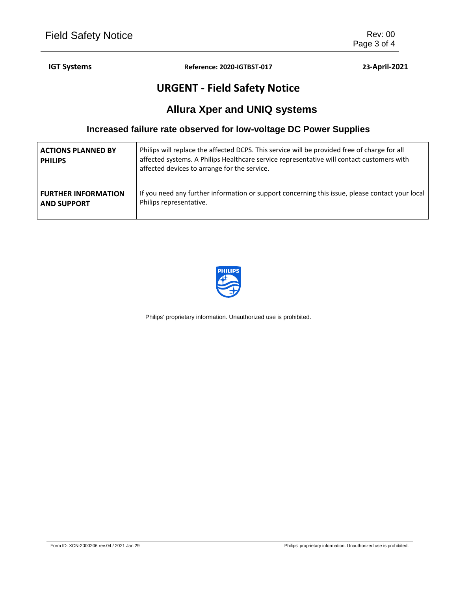### **IGT Systems Reference: 2020-IGTBST-017 23-April-2021**

# **URGENT - Field Safety Notice**

# **Allura Xper and UNIQ systems**

### **Increased failure rate observed for low-voltage DC Power Supplies**

| <b>ACTIONS PLANNED BY</b><br><b>PHILIPS</b> | Philips will replace the affected DCPS. This service will be provided free of charge for all<br>affected systems. A Philips Healthcare service representative will contact customers with<br>affected devices to arrange for the service. |
|---------------------------------------------|-------------------------------------------------------------------------------------------------------------------------------------------------------------------------------------------------------------------------------------------|
| <b>FURTHER INFORMATION</b>                  | If you need any further information or support concerning this issue, please contact your local                                                                                                                                           |
| <b>AND SUPPORT</b>                          | Philips representative.                                                                                                                                                                                                                   |



Philips' proprietary information. Unauthorized use is prohibited.